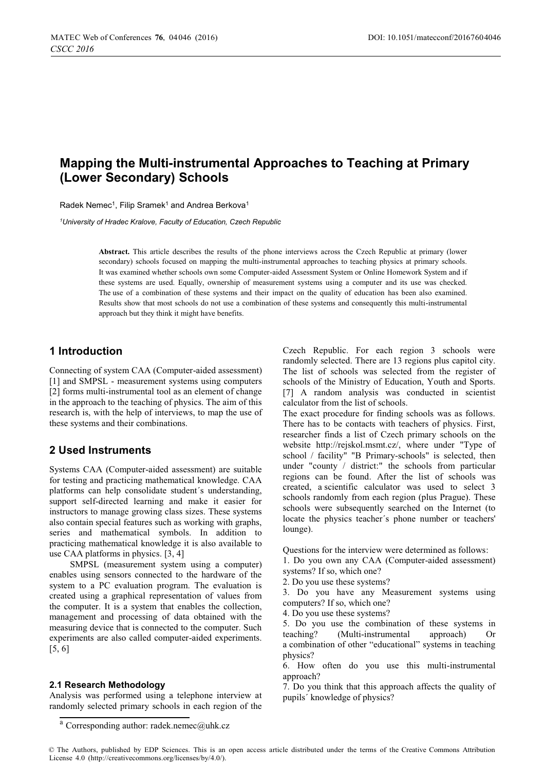# **Mapping the Multi-instrumental Approaches to Teaching at Primary (Lower Secondary) Schools**

Radek Nemec<sup>1</sup>, Filip Sramek<sup>1</sup> and Andrea Berkova<sup>1</sup>

*1 University of Hradec Kralove, Faculty of Education, Czech Republic* 

**Abstract.** This article describes the results of the phone interviews across the Czech Republic at primary (lower secondary) schools focused on mapping the multi-instrumental approaches to teaching physics at primary schools. It was examined whether schools own some Computer-aided Assessment System or Online Homework System and if these systems are used. Equally, ownership of measurement systems using a computer and its use was checked. The use of a combination of these systems and their impact on the quality of education has been also examined. Results show that most schools do not use a combination of these systems and consequently this multi-instrumental approach but they think it might have benefits.

#### **1 Introduction**

Connecting of system CAA (Computer-aided assessment) [1] and SMPSL - measurement systems using computers [2] forms multi-instrumental tool as an element of change in the approach to the teaching of physics. The aim of this research is, with the help of interviews, to map the use of these systems and their combinations.

#### **2 Used Instruments**

Systems CAA (Computer-aided assessment) are suitable for testing and practicing mathematical knowledge. CAA platforms can help consolidate student´s understanding, support self-directed learning and make it easier for instructors to manage growing class sizes. These systems also contain special features such as working with graphs, series and mathematical symbols. In addition to practicing mathematical knowledge it is also available to use CAA platforms in physics. [3, 4]

SMPSL (measurement system using a computer) enables using sensors connected to the hardware of the system to a PC evaluation program. The evaluation is created using a graphical representation of values from the computer. It is a system that enables the collection, management and processing of data obtained with the measuring device that is connected to the computer. Such experiments are also called computer-aided experiments. [5, 6]

#### **2.1 Research Methodology**

Analysis was performed using a telephone interview at randomly selected primary schools in each region of the

Czech Republic. For each region 3 schools were randomly selected. There are 13 regions plus capitol city. The list of schools was selected from the register of schools of the Ministry of Education, Youth and Sports. [7] A random analysis was conducted in scientist calculator from the list of schools.

The exact procedure for finding schools was as follows. There has to be contacts with teachers of physics. First, researcher finds a list of Czech primary schools on the website http://rejskol.msmt.cz/, where under "Type of school / facility" "B Primary-schools" is selected, then under "county / district:" the schools from particular regions can be found. After the list of schools was created, a scientific calculator was used to select 3 schools randomly from each region (plus Prague). These schools were subsequently searched on the Internet (to locate the physics teacher´s phone number or teachers' lounge).

Questions for the interview were determined as follows:

- 1. Do you own any CAA (Computer-aided assessment) systems? If so, which one?
- 2. Do you use these systems?
- 3. Do you have any Measurement systems using computers? If so, which one?
- 4. Do you use these systems?

5. Do you use the combination of these systems in teaching? (Multi-instrumental approach) Or a combination of other "educational" systems in teaching physics?

6. How often do you use this multi-instrumental approach?

7. Do you think that this approach affects the quality of pupils´ knowledge of physics?

<sup>a</sup> Corresponding author: radek.nemec@uhk.cz

<sup>©</sup> The Authors, published by EDP Sciences. This is an open access article distributed under the terms of the Creative Commons Attribution License 4.0 (http://creativecommons.org/licenses/by/4.0/).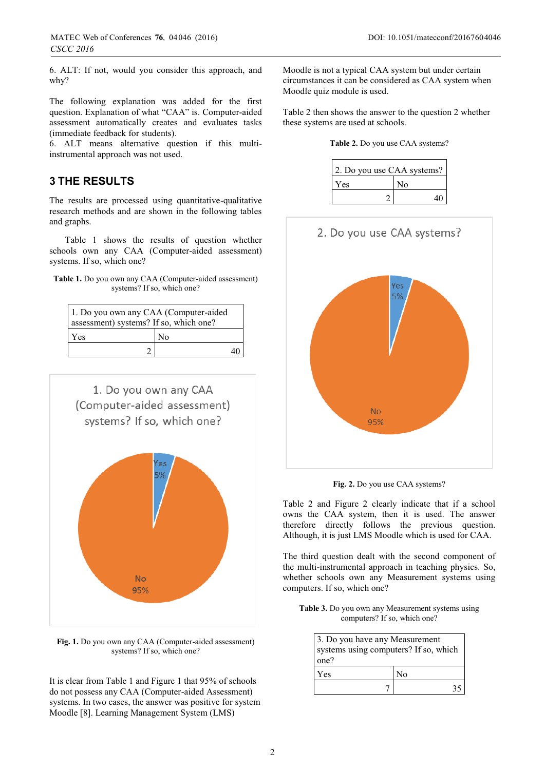6. ALT: If not, would you consider this approach, and why?

The following explanation was added for the first question. Explanation of what "CAA" is. Computer-aided assessment automatically creates and evaluates tasks (immediate feedback for students).

6. ALT means alternative question if this multiinstrumental approach was not used.

### **3 THE RESULTS**

The results are processed using quantitative-qualitative research methods and are shown in the following tables and graphs.

 Table 1 shows the results of question whether schools own any CAA (Computer-aided assessment) systems. If so, which one?

| <b>Table 1.</b> Do you own any CAA (Computer-aided assessment) |  |
|----------------------------------------------------------------|--|
| systems? If so, which one?                                     |  |

| 1. Do you own any CAA (Computer-aided<br>assessment) systems? If so, which one? |                |  |
|---------------------------------------------------------------------------------|----------------|--|
| Yes                                                                             | N <sub>0</sub> |  |
|                                                                                 |                |  |



**Fig. 1.** Do you own any CAA (Computer-aided assessment) systems? If so, which one?

It is clear from Table 1 and Figure 1 that 95% of schools do not possess any CAA (Computer-aided Assessment) systems. In two cases, the answer was positive for system Moodle [8]. Learning Management System (LMS)

Moodle is not a typical CAA system but under certain circumstances it can be considered as CAA system when Moodle quiz module is used.

Table 2 then shows the answer to the question 2 whether these systems are used at schools.

|  | Table 2. Do you use CAA systems? |  |
|--|----------------------------------|--|
|  |                                  |  |

| 2. Do you use CAA systems? |    |
|----------------------------|----|
| Yes                        | No |
|                            | 40 |



**Fig. 2.** Do you use CAA systems?

Table 2 and Figure 2 clearly indicate that if a school owns the CAA system, then it is used. The answer therefore directly follows the previous question. Although, it is just LMS Moodle which is used for CAA.

The third question dealt with the second component of the multi-instrumental approach in teaching physics. So, whether schools own any Measurement systems using computers. If so, which one?

**Table 3.** Do you own any Measurement systems using computers? If so, which one?

| one? | 3. Do you have any Measurement<br>systems using computers? If so, which |  |
|------|-------------------------------------------------------------------------|--|
| Yes  | Nο                                                                      |  |
|      |                                                                         |  |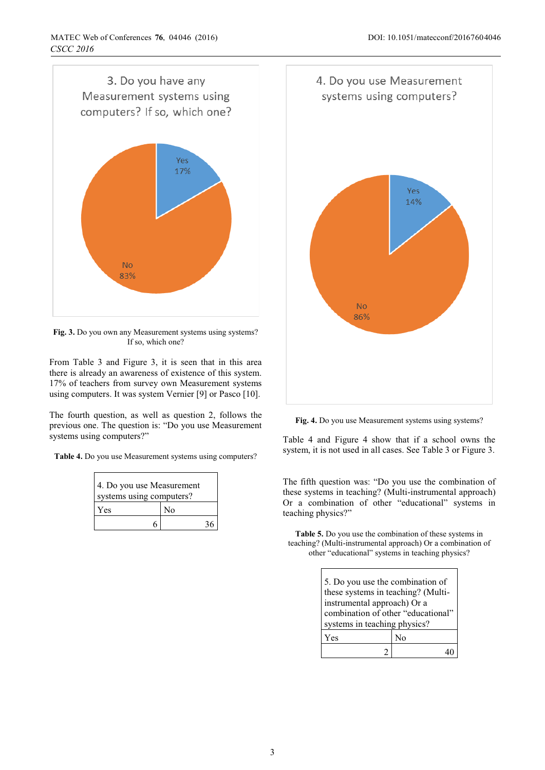

**Fig. 3.** Do you own any Measurement systems using systems? If so, which one?

From Table 3 and Figure 3, it is seen that in this area there is already an awareness of existence of this system. 17% of teachers from survey own Measurement systems using computers. It was system Vernier [9] or Pasco [10].

The fourth question, as well as question 2, follows the previous one. The question is: "Do you use Measurement systems using computers?"

**Table 4.** Do you use Measurement systems using computers?

| 4. Do you use Measurement<br>systems using computers? |    |
|-------------------------------------------------------|----|
| Yes                                                   | No |
|                                                       |    |



Fig. 4. Do you use Measurement systems using systems?

Table 4 and Figure 4 show that if a school owns the system, it is not used in all cases. See Table 3 or Figure 3.

The fifth question was: "Do you use the combination of these systems in teaching? (Multi-instrumental approach) Or a combination of other "educational" systems in teaching physics?"

**Table 5.** Do you use the combination of these systems in teaching? (Multi-instrumental approach) Or a combination of other "educational" systems in teaching physics?

| 5. Do you use the combination of<br>these systems in teaching? (Multi-<br>instrumental approach) Or a<br>combination of other "educational"<br>systems in teaching physics? |    |
|-----------------------------------------------------------------------------------------------------------------------------------------------------------------------------|----|
| Yes                                                                                                                                                                         | N٥ |
|                                                                                                                                                                             |    |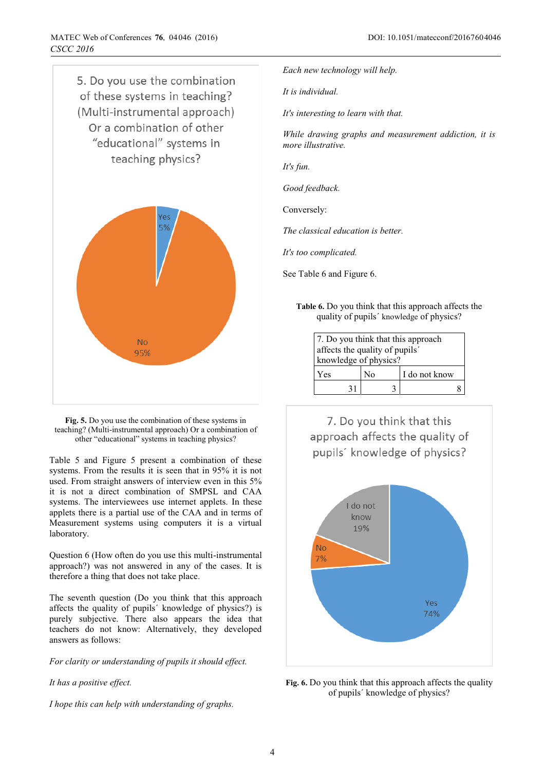

**Fig. 5.** Do you use the combination of these systems in teaching? (Multi-instrumental approach) Or a combination of other "educational" systems in teaching physics?

Table 5 and Figure 5 present a combination of these systems. From the results it is seen that in 95% it is not used. From straight answers of interview even in this 5% it is not a direct combination of SMPSL and CAA systems. The interviewees use internet applets. In these applets there is a partial use of the CAA and in terms of Measurement systems using computers it is a virtual laboratory.

Question 6 (How often do you use this multi-instrumental approach?) was not answered in any of the cases. It is therefore a thing that does not take place.

The seventh question (Do you think that this approach affects the quality of pupils´ knowledge of physics?) is purely subjective. There also appears the idea that teachers do not know: Alternatively, they developed answers as follows:

*For clarity or understanding of pupils it should effect.* 

*It has a positive effect.* 

*I hope this can help with understanding of graphs.* 

*Each new technology will help.* 

*It is individual.* 

*It's interesting to learn with that.* 

*While drawing graphs and measurement addiction, it is more illustrative.* 

*It's fun.* 

*Good feedback.* 

Conversely:

*The classical education is better.* 

*It's too complicated.* 

See Table 6 and Figure 6.

**Table 6.** Do you think that this approach affects the quality of pupils´ knowledge of physics?

| 7. Do you think that this approach<br>affects the quality of pupils'<br>knowledge of physics? |    |               |
|-----------------------------------------------------------------------------------------------|----|---------------|
| Yes                                                                                           | No | I do not know |
| 31                                                                                            |    |               |

7. Do you think that this approach affects the quality of pupils' knowledge of physics?



**Fig. 6.** Do you think that this approach affects the quality of pupils´ knowledge of physics?